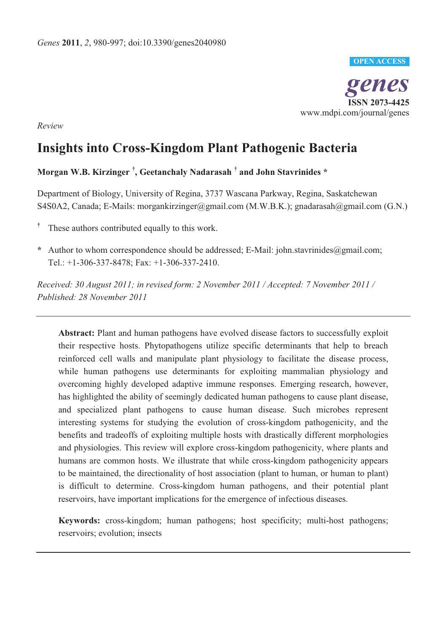### **OPEN ACCESS**



*Review* 

# **Insights into Cross-Kingdom Plant Pathogenic Bacteria**

## **Morgan W.B. Kirzinger † , Geetanchaly Nadarasah † and John Stavrinides \***

Department of Biology, University of Regina, 3737 Wascana Parkway, Regina, Saskatchewan S4S0A2, Canada; E-Mails: morgankirzinger@gmail.com (M.W.B.K.); gnadarasah@gmail.com (G.N.)

- **†** These authors contributed equally to this work.
- **\*** Author to whom correspondence should be addressed; E-Mail: john.stavrinides@gmail.com; Tel.: +1-306-337-8478; Fax: +1-306-337-2410.

*Received: 30 August 2011; in revised form: 2 November 2011 / Accepted: 7 November 2011 / Published: 28 November 2011* 

**Abstract:** Plant and human pathogens have evolved disease factors to successfully exploit their respective hosts. Phytopathogens utilize specific determinants that help to breach reinforced cell walls and manipulate plant physiology to facilitate the disease process, while human pathogens use determinants for exploiting mammalian physiology and overcoming highly developed adaptive immune responses. Emerging research, however, has highlighted the ability of seemingly dedicated human pathogens to cause plant disease, and specialized plant pathogens to cause human disease. Such microbes represent interesting systems for studying the evolution of cross-kingdom pathogenicity, and the benefits and tradeoffs of exploiting multiple hosts with drastically different morphologies and physiologies. This review will explore cross-kingdom pathogenicity, where plants and humans are common hosts. We illustrate that while cross-kingdom pathogenicity appears to be maintained, the directionality of host association (plant to human, or human to plant) is difficult to determine. Cross-kingdom human pathogens, and their potential plant reservoirs, have important implications for the emergence of infectious diseases.

**Keywords:** cross-kingdom; human pathogens; host specificity; multi-host pathogens; reservoirs; evolution; insects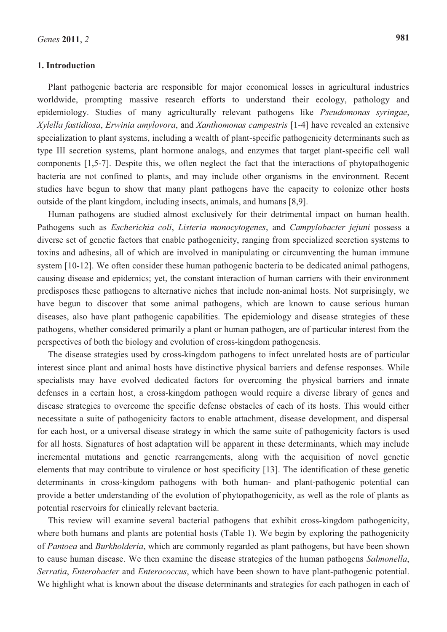### **1. Introduction**

Plant pathogenic bacteria are responsible for major economical losses in agricultural industries worldwide, prompting massive research efforts to understand their ecology, pathology and epidemiology. Studies of many agriculturally relevant pathogens like *Pseudomonas syringae*, *Xylella fastidiosa*, *Erwinia amylovora*, and *Xanthomonas campestris* [1-4] have revealed an extensive specialization to plant systems, including a wealth of plant-specific pathogenicity determinants such as type III secretion systems, plant hormone analogs, and enzymes that target plant-specific cell wall components [1,5-7]. Despite this, we often neglect the fact that the interactions of phytopathogenic bacteria are not confined to plants, and may include other organisms in the environment. Recent studies have begun to show that many plant pathogens have the capacity to colonize other hosts outside of the plant kingdom, including insects, animals, and humans [8,9].

Human pathogens are studied almost exclusively for their detrimental impact on human health. Pathogens such as *Escherichia coli*, *Listeria monocytogenes*, and *Campylobacter jejuni* possess a diverse set of genetic factors that enable pathogenicity, ranging from specialized secretion systems to toxins and adhesins, all of which are involved in manipulating or circumventing the human immune system [10-12]. We often consider these human pathogenic bacteria to be dedicated animal pathogens, causing disease and epidemics; yet, the constant interaction of human carriers with their environment predisposes these pathogens to alternative niches that include non-animal hosts. Not surprisingly, we have begun to discover that some animal pathogens, which are known to cause serious human diseases, also have plant pathogenic capabilities. The epidemiology and disease strategies of these pathogens, whether considered primarily a plant or human pathogen, are of particular interest from the perspectives of both the biology and evolution of cross-kingdom pathogenesis.

The disease strategies used by cross-kingdom pathogens to infect unrelated hosts are of particular interest since plant and animal hosts have distinctive physical barriers and defense responses. While specialists may have evolved dedicated factors for overcoming the physical barriers and innate defenses in a certain host, a cross-kingdom pathogen would require a diverse library of genes and disease strategies to overcome the specific defense obstacles of each of its hosts. This would either necessitate a suite of pathogenicity factors to enable attachment, disease development, and dispersal for each host, or a universal disease strategy in which the same suite of pathogenicity factors is used for all hosts. Signatures of host adaptation will be apparent in these determinants, which may include incremental mutations and genetic rearrangements, along with the acquisition of novel genetic elements that may contribute to virulence or host specificity [13]. The identification of these genetic determinants in cross-kingdom pathogens with both human- and plant-pathogenic potential can provide a better understanding of the evolution of phytopathogenicity, as well as the role of plants as potential reservoirs for clinically relevant bacteria.

This review will examine several bacterial pathogens that exhibit cross-kingdom pathogenicity, where both humans and plants are potential hosts (Table 1). We begin by exploring the pathogenicity of *Pantoea* and *Burkholderia*, which are commonly regarded as plant pathogens, but have been shown to cause human disease. We then examine the disease strategies of the human pathogens *Salmonella*, *Serratia*, *Enterobacter* and *Enterococcus*, which have been shown to have plant-pathogenic potential. We highlight what is known about the disease determinants and strategies for each pathogen in each of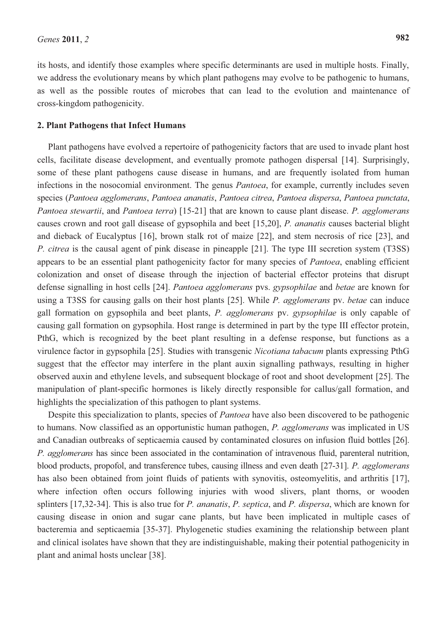its hosts, and identify those examples where specific determinants are used in multiple hosts. Finally, we address the evolutionary means by which plant pathogens may evolve to be pathogenic to humans, as well as the possible routes of microbes that can lead to the evolution and maintenance of cross-kingdom pathogenicity.

### **2. Plant Pathogens that Infect Humans**

Plant pathogens have evolved a repertoire of pathogenicity factors that are used to invade plant host cells, facilitate disease development, and eventually promote pathogen dispersal [14]. Surprisingly, some of these plant pathogens cause disease in humans, and are frequently isolated from human infections in the nosocomial environment. The genus *Pantoea*, for example, currently includes seven species (*Pantoea agglomerans*, *Pantoea ananatis*, *Pantoea citrea*, *Pantoea dispersa*, *Pantoea punctata*, *Pantoea stewartii*, and *Pantoea terra*) [15-21] that are known to cause plant disease. *P. agglomerans* causes crown and root gall disease of gypsophila and beet [15,20], *P. ananatis* causes bacterial blight and dieback of Eucalyptus [16], brown stalk rot of maize [22], and stem necrosis of rice [23], and *P. citrea* is the causal agent of pink disease in pineapple [21]. The type III secretion system (T3SS) appears to be an essential plant pathogenicity factor for many species of *Pantoea*, enabling efficient colonization and onset of disease through the injection of bacterial effector proteins that disrupt defense signalling in host cells [24]. *Pantoea agglomerans* pvs. *gypsophilae* and *betae* are known for using a T3SS for causing galls on their host plants [25]. While *P. agglomerans* pv. *betae* can induce gall formation on gypsophila and beet plants, *P. agglomerans* pv. *gypsophilae* is only capable of causing gall formation on gypsophila. Host range is determined in part by the type III effector protein, PthG, which is recognized by the beet plant resulting in a defense response, but functions as a virulence factor in gypsophila [25]. Studies with transgenic *Nicotiana tabacum* plants expressing PthG suggest that the effector may interfere in the plant auxin signalling pathways, resulting in higher observed auxin and ethylene levels, and subsequent blockage of root and shoot development [25]. The manipulation of plant-specific hormones is likely directly responsible for callus/gall formation, and highlights the specialization of this pathogen to plant systems.

Despite this specialization to plants, species of *Pantoea* have also been discovered to be pathogenic to humans. Now classified as an opportunistic human pathogen, *P. agglomerans* was implicated in US and Canadian outbreaks of septicaemia caused by contaminated closures on infusion fluid bottles [26]. *P. agglomerans* has since been associated in the contamination of intravenous fluid, parenteral nutrition, blood products, propofol, and transference tubes, causing illness and even death [27-31]. *P. agglomerans* has also been obtained from joint fluids of patients with synovitis, osteomyelitis, and arthritis [17], where infection often occurs following injuries with wood slivers, plant thorns, or wooden splinters [17,32-34]. This is also true for *P. ananatis*, *P. septica*, and *P. dispersa*, which are known for causing disease in onion and sugar cane plants, but have been implicated in multiple cases of bacteremia and septicaemia [35-37]. Phylogenetic studies examining the relationship between plant and clinical isolates have shown that they are indistinguishable, making their potential pathogenicity in plant and animal hosts unclear [38].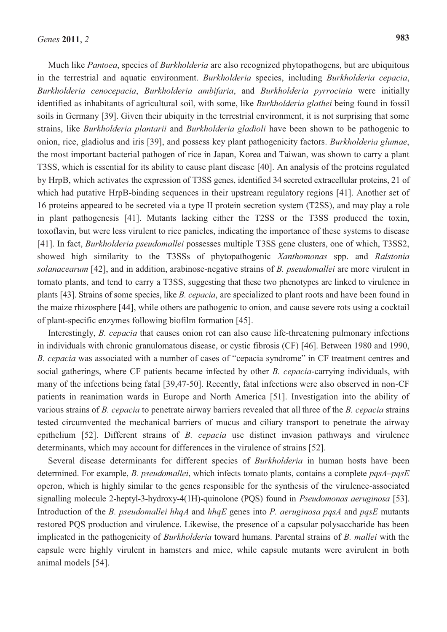Much like *Pantoea*, species of *Burkholderia* are also recognized phytopathogens, but are ubiquitous in the terrestrial and aquatic environment. *Burkholderia* species, including *Burkholderia cepacia*, *Burkholderia cenocepacia*, *Burkholderia ambifaria*, and *Burkholderia pyrrocinia* were initially identified as inhabitants of agricultural soil, with some, like *Burkholderia glathei* being found in fossil soils in Germany [39]. Given their ubiquity in the terrestrial environment, it is not surprising that some strains, like *Burkholderia plantarii* and *Burkholderia gladioli* have been shown to be pathogenic to onion, rice, gladiolus and iris [39], and possess key plant pathogenicity factors. *Burkholderia glumae*, the most important bacterial pathogen of rice in Japan, Korea and Taiwan, was shown to carry a plant T3SS, which is essential for its ability to cause plant disease [40]. An analysis of the proteins regulated by HrpB, which activates the expression of T3SS genes, identified 34 secreted extracellular proteins, 21 of which had putative HrpB-binding sequences in their upstream regulatory regions [41]. Another set of 16 proteins appeared to be secreted via a type II protein secretion system (T2SS), and may play a role in plant pathogenesis [41]. Mutants lacking either the T2SS or the T3SS produced the toxin, toxoflavin, but were less virulent to rice panicles, indicating the importance of these systems to disease [41]. In fact, *Burkholderia pseudomallei* possesses multiple T3SS gene clusters, one of which, T3SS2, showed high similarity to the T3SSs of phytopathogenic *Xanthomonas* spp. and *Ralstonia solanacearum* [42], and in addition, arabinose-negative strains of *B. pseudomallei* are more virulent in tomato plants, and tend to carry a T3SS, suggesting that these two phenotypes are linked to virulence in plants [43]. Strains of some species, like *B. cepacia*, are specialized to plant roots and have been found in the maize rhizosphere [44], while others are pathogenic to onion, and cause severe rots using a cocktail of plant-specific enzymes following biofilm formation [45].

Interestingly, *B. cepacia* that causes onion rot can also cause life-threatening pulmonary infections in individuals with chronic granulomatous disease, or cystic fibrosis (CF) [46]. Between 1980 and 1990, *B. cepacia* was associated with a number of cases of "cepacia syndrome" in CF treatment centres and social gatherings, where CF patients became infected by other *B. cepacia*-carrying individuals, with many of the infections being fatal [39,47-50]. Recently, fatal infections were also observed in non-CF patients in reanimation wards in Europe and North America [51]. Investigation into the ability of various strains of *B. cepacia* to penetrate airway barriers revealed that all three of the *B. cepacia* strains tested circumvented the mechanical barriers of mucus and ciliary transport to penetrate the airway epithelium [52]. Different strains of *B. cepacia* use distinct invasion pathways and virulence determinants, which may account for differences in the virulence of strains [52].

Several disease determinants for different species of *Burkholderia* in human hosts have been determined. For example, *B. pseudomallei*, which infects tomato plants, contains a complete *pqsA*–*pqsE* operon, which is highly similar to the genes responsible for the synthesis of the virulence-associated signalling molecule 2-heptyl-3-hydroxy-4(1H)-quinolone (PQS) found in *Pseudomonas aeruginosa* [53]. Introduction of the *B. pseudomallei hhqA* and *hhqE* genes into *P. aeruginosa pqsA* and *pqsE* mutants restored PQS production and virulence. Likewise, the presence of a capsular polysaccharide has been implicated in the pathogenicity of *Burkholderia* toward humans. Parental strains of *B. mallei* with the capsule were highly virulent in hamsters and mice, while capsule mutants were avirulent in both animal models [54].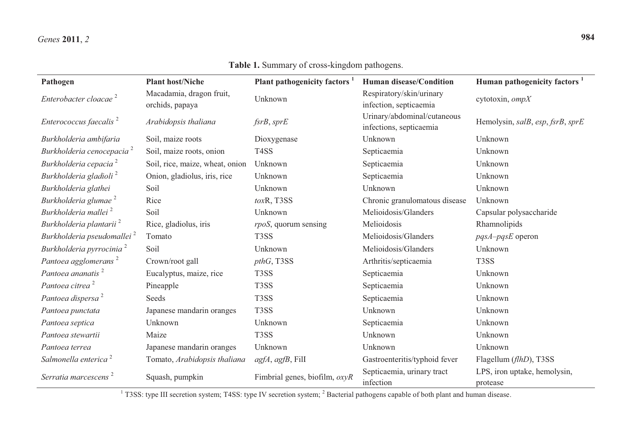#### *Genes***<sup>2011</sup>**, *<sup>2</sup>* **<sup>984</sup>**

## **Table 1.** Summary of cross-kingdom pathogens.

| Pathogen                               | <b>Plant host/Niche</b>                     | Plant pathogenicity factors     | <b>Human disease/Condition</b>                         | Human pathogenicity factors <sup>1</sup> |
|----------------------------------------|---------------------------------------------|---------------------------------|--------------------------------------------------------|------------------------------------------|
| Enterobacter cloacae <sup>2</sup>      | Macadamia, dragon fruit,<br>orchids, papaya | Unknown                         | Respiratory/skin/urinary<br>infection, septicaemia     | cytotoxin, ompX                          |
| Enterococcus faecalis <sup>2</sup>     | Arabidopsis thaliana                        | fsrB, sprE                      | Urinary/abdominal/cutaneous<br>infections, septicaemia | Hemolysin, salB, esp, fsrB, sprE         |
| Burkholderia ambifaria                 | Soil, maize roots                           | Dioxygenase                     | Unknown                                                | Unknown                                  |
| Burkholderia cenocepacia <sup>2</sup>  | Soil, maize roots, onion                    | T <sub>4</sub> S <sub>S</sub>   | Septicaemia                                            | Unknown                                  |
| Burkholderia cepacia <sup>2</sup>      | Soil, rice, maize, wheat, onion             | Unknown                         | Septicaemia                                            | Unknown                                  |
| Burkholderia gladioli <sup>2</sup>     | Onion, gladiolus, iris, rice                | Unknown                         | Septicaemia                                            | Unknown                                  |
| Burkholderia glathei                   | Soil                                        | Unknown                         | Unknown                                                | Unknown                                  |
| Burkholderia glumae <sup>2</sup>       | Rice                                        | toxR, T3SS                      | Chronic granulomatous disease                          | Unknown                                  |
| Burkholderia mallei <sup>2</sup>       | Soil                                        | Unknown                         | Melioidosis/Glanders                                   | Capsular polysaccharide                  |
| Burkholderia plantarii <sup>2</sup>    | Rice, gladiolus, iris                       | rpoS, quorum sensing            | Melioidosis                                            | Rhamnolipids                             |
| Burkholderia pseudomallei <sup>2</sup> | Tomato                                      | T3SS                            | Melioidosis/Glanders                                   | pqsA-pqsE operon                         |
| Burkholderia pyrrocinia <sup>2</sup>   | Soil                                        | Unknown                         | Melioidosis/Glanders                                   | Unknown                                  |
| Pantoea agglomerans <sup>2</sup>       | Crown/root gall                             | pthG, T3SS                      | Arthritis/septicaemia                                  | T <sub>3</sub> SS                        |
| Pantoea ananatis <sup>2</sup>          | Eucalyptus, maize, rice                     | T3SS                            | Septicaemia                                            | Unknown                                  |
| Pantoea citrea <sup>2</sup>            | Pineapple                                   | T3SS                            | Septicaemia                                            | Unknown                                  |
| Pantoea dispersa <sup>2</sup>          | Seeds                                       | T3SS                            | Septicaemia                                            | Unknown                                  |
| Pantoea punctata                       | Japanese mandarin oranges                   | T3SS                            | Unknown                                                | Unknown                                  |
| Pantoea septica                        | Unknown                                     | Unknown                         | Septicaemia                                            | Unknown                                  |
| Pantoea stewartii                      | Maize                                       | T3SS                            | Unknown                                                | Unknown                                  |
| Pantoea terrea                         | Japanese mandarin oranges                   | Unknown                         | Unknown                                                | Unknown                                  |
| Salmonella enterica <sup>2</sup>       | Tomato, Arabidopsis thaliana                | agfA, agfB, FilI                | Gastroenteritis/typhoid fever                          | Flagellum (flhD), T3SS                   |
| Serratia marcescens <sup>2</sup>       | Squash, pumpkin                             | Fimbrial genes, biofilm, $oxyR$ | Septicaemia, urinary tract<br>infection                | LPS, iron uptake, hemolysin,<br>protease |

<sup>1</sup> T3SS: type III secretion system; T4SS: type IV secretion system; <sup>2</sup> Bacterial pathogens capable of both plant and human disease.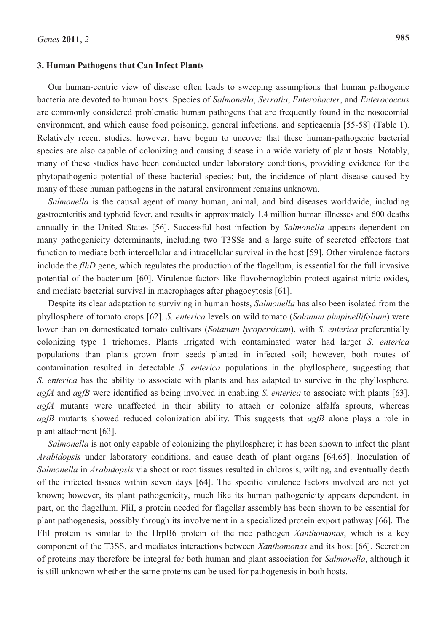### **3. Human Pathogens that Can Infect Plants**

Our human-centric view of disease often leads to sweeping assumptions that human pathogenic bacteria are devoted to human hosts. Species of *Salmonella*, *Serratia*, *Enterobacter*, and *Enterococcus* are commonly considered problematic human pathogens that are frequently found in the nosocomial environment, and which cause food poisoning, general infections, and septicaemia [55-58] (Table 1). Relatively recent studies, however, have begun to uncover that these human-pathogenic bacterial species are also capable of colonizing and causing disease in a wide variety of plant hosts. Notably, many of these studies have been conducted under laboratory conditions, providing evidence for the phytopathogenic potential of these bacterial species; but, the incidence of plant disease caused by many of these human pathogens in the natural environment remains unknown.

*Salmonella* is the causal agent of many human, animal, and bird diseases worldwide, including gastroenteritis and typhoid fever, and results in approximately 1.4 million human illnesses and 600 deaths annually in the United States [56]. Successful host infection by *Salmonella* appears dependent on many pathogenicity determinants, including two T3SSs and a large suite of secreted effectors that function to mediate both intercellular and intracellular survival in the host [59]. Other virulence factors include the *flhD* gene, which regulates the production of the flagellum, is essential for the full invasive potential of the bacterium [60]. Virulence factors like flavohemoglobin protect against nitric oxides, and mediate bacterial survival in macrophages after phagocytosis [61].

Despite its clear adaptation to surviving in human hosts, *Salmonella* has also been isolated from the phyllosphere of tomato crops [62]. *S. enterica* levels on wild tomato (*Solanum pimpinellifolium*) were lower than on domesticated tomato cultivars (*Solanum lycopersicum*), with *S*. *enterica* preferentially colonizing type 1 trichomes. Plants irrigated with contaminated water had larger *S*. *enterica*  populations than plants grown from seeds planted in infected soil; however, both routes of contamination resulted in detectable *S*. *enterica* populations in the phyllosphere, suggesting that *S. enterica* has the ability to associate with plants and has adapted to survive in the phyllosphere. *agfA* and *agfB* were identified as being involved in enabling *S. enterica* to associate with plants [63]. *agfA* mutants were unaffected in their ability to attach or colonize alfalfa sprouts, whereas *agfB* mutants showed reduced colonization ability. This suggests that *agfB* alone plays a role in plant attachment [63].

*Salmonella* is not only capable of colonizing the phyllosphere; it has been shown to infect the plant *Arabidopsis* under laboratory conditions, and cause death of plant organs [64,65]. Inoculation of *Salmonella* in *Arabidopsis* via shoot or root tissues resulted in chlorosis, wilting, and eventually death of the infected tissues within seven days [64]. The specific virulence factors involved are not yet known; however, its plant pathogenicity, much like its human pathogenicity appears dependent, in part, on the flagellum. FliI, a protein needed for flagellar assembly has been shown to be essential for plant pathogenesis, possibly through its involvement in a specialized protein export pathway [66]. The FliI protein is similar to the HrpB6 protein of the rice pathogen *Xanthomonas*, which is a key component of the T3SS, and mediates interactions between *Xanthomonas* and its host [66]. Secretion of proteins may therefore be integral for both human and plant association for *Salmonella*, although it is still unknown whether the same proteins can be used for pathogenesis in both hosts.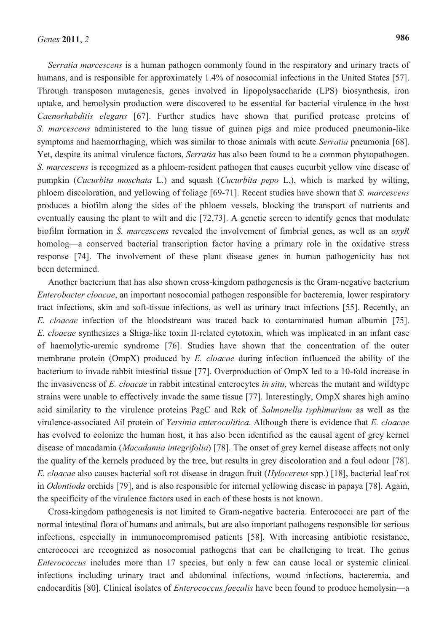*Serratia marcescens* is a human pathogen commonly found in the respiratory and urinary tracts of humans, and is responsible for approximately 1.4% of nosocomial infections in the United States [57]. Through transposon mutagenesis, genes involved in lipopolysaccharide (LPS) biosynthesis, iron uptake, and hemolysin production were discovered to be essential for bacterial virulence in the host *Caenorhabditis elegans* [67]. Further studies have shown that purified protease proteins of *S. marcescens* administered to the lung tissue of guinea pigs and mice produced pneumonia-like symptoms and haemorrhaging, which was similar to those animals with acute *Serratia* pneumonia [68]. Yet, despite its animal virulence factors, *Serratia* has also been found to be a common phytopathogen. *S. marcescens* is recognized as a phloem-resident pathogen that causes cucurbit yellow vine disease of pumpkin (*Cucurbita moschata* L.) and squash (*Cucurbita pepo* L.), which is marked by wilting, phloem discoloration, and yellowing of foliage [69-71]. Recent studies have shown that *S. marcescens* produces a biofilm along the sides of the phloem vessels, blocking the transport of nutrients and eventually causing the plant to wilt and die [72,73]. A genetic screen to identify genes that modulate biofilm formation in *S. marcescens* revealed the involvement of fimbrial genes, as well as an *oxyR* homolog—a conserved bacterial transcription factor having a primary role in the oxidative stress response [74]. The involvement of these plant disease genes in human pathogenicity has not been determined.

Another bacterium that has also shown cross-kingdom pathogenesis is the Gram-negative bacterium *Enterobacter cloacae*, an important nosocomial pathogen responsible for bacteremia, lower respiratory tract infections, skin and soft-tissue infections, as well as urinary tract infections [55]. Recently, an *E. cloacae* infection of the bloodstream was traced back to contaminated human albumin [75]. *E. cloacae* synthesizes a Shiga-like toxin II-related cytotoxin, which was implicated in an infant case of haemolytic-uremic syndrome [76]. Studies have shown that the concentration of the outer membrane protein (OmpX) produced by *E. cloacae* during infection influenced the ability of the bacterium to invade rabbit intestinal tissue [77]. Overproduction of OmpX led to a 10-fold increase in the invasiveness of *E. cloacae* in rabbit intestinal enterocytes *in situ*, whereas the mutant and wildtype strains were unable to effectively invade the same tissue [77]. Interestingly, OmpX shares high amino acid similarity to the virulence proteins PagC and Rck of *Salmonella typhimurium* as well as the virulence-associated Ail protein of *Yersinia enterocolitica*. Although there is evidence that *E. cloacae* has evolved to colonize the human host, it has also been identified as the causal agent of grey kernel disease of macadamia (*Macadamia integrifolia*) [78]. The onset of grey kernel disease affects not only the quality of the kernels produced by the tree, but results in grey discoloration and a foul odour [78]. *E. cloacae* also causes bacterial soft rot disease in dragon fruit (*Hylocereus* spp.) [18], bacterial leaf rot in *Odontioda* orchids [79], and is also responsible for internal yellowing disease in papaya [78]. Again, the specificity of the virulence factors used in each of these hosts is not known.

Cross-kingdom pathogenesis is not limited to Gram-negative bacteria. Enterococci are part of the normal intestinal flora of humans and animals, but are also important pathogens responsible for serious infections, especially in immunocompromised patients [58]. With increasing antibiotic resistance, enterococci are recognized as nosocomial pathogens that can be challenging to treat. The genus *Enterococcus* includes more than 17 species, but only a few can cause local or systemic clinical infections including urinary tract and abdominal infections, wound infections, bacteremia, and endocarditis [80]. Clinical isolates of *Enterococcus faecalis* have been found to produce hemolysin—a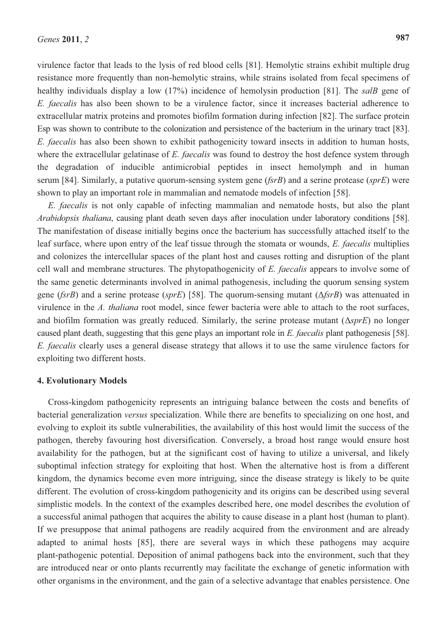virulence factor that leads to the lysis of red blood cells [81]. Hemolytic strains exhibit multiple drug resistance more frequently than non-hemolytic strains, while strains isolated from fecal specimens of healthy individuals display a low (17%) incidence of hemolysin production [81]. The *salB* gene of *E. faecalis* has also been shown to be a virulence factor, since it increases bacterial adherence to extracellular matrix proteins and promotes biofilm formation during infection [82]. The surface protein Esp was shown to contribute to the colonization and persistence of the bacterium in the urinary tract [83]. *E. faecalis* has also been shown to exhibit pathogenicity toward insects in addition to human hosts, where the extracellular gelatinase of *E. faecalis* was found to destroy the host defence system through the degradation of inducible antimicrobial peptides in insect hemolymph and in human serum [84]. Similarly, a putative quorum-sensing system gene (*fsrB*) and a serine protease (*sprE*) were shown to play an important role in mammalian and nematode models of infection [58].

*E. faecalis* is not only capable of infecting mammalian and nematode hosts, but also the plant *Arabidopsis thaliana*, causing plant death seven days after inoculation under laboratory conditions [58]. The manifestation of disease initially begins once the bacterium has successfully attached itself to the leaf surface, where upon entry of the leaf tissue through the stomata or wounds, *E. faecalis* multiplies and colonizes the intercellular spaces of the plant host and causes rotting and disruption of the plant cell wall and membrane structures. The phytopathogenicity of *E. faecalis* appears to involve some of the same genetic determinants involved in animal pathogenesis, including the quorum sensing system gene (*fsrB*) and a serine protease (*sprE*) [58]. The quorum-sensing mutant (Δ*fsrB*) was attenuated in virulence in the *A. thaliana* root model, since fewer bacteria were able to attach to the root surfaces, and biofilm formation was greatly reduced. Similarly, the serine protease mutant (Δ*sprE*) no longer caused plant death, suggesting that this gene plays an important role in *E. faecalis* plant pathogenesis [58]. *E. faecalis* clearly uses a general disease strategy that allows it to use the same virulence factors for exploiting two different hosts.

### **4. Evolutionary Models**

Cross-kingdom pathogenicity represents an intriguing balance between the costs and benefits of bacterial generalization *versus* specialization. While there are benefits to specializing on one host, and evolving to exploit its subtle vulnerabilities, the availability of this host would limit the success of the pathogen, thereby favouring host diversification. Conversely, a broad host range would ensure host availability for the pathogen, but at the significant cost of having to utilize a universal, and likely suboptimal infection strategy for exploiting that host. When the alternative host is from a different kingdom, the dynamics become even more intriguing, since the disease strategy is likely to be quite different. The evolution of cross-kingdom pathogenicity and its origins can be described using several simplistic models. In the context of the examples described here, one model describes the evolution of a successful animal pathogen that acquires the ability to cause disease in a plant host (human to plant). If we presuppose that animal pathogens are readily acquired from the environment and are already adapted to animal hosts [85], there are several ways in which these pathogens may acquire plant-pathogenic potential. Deposition of animal pathogens back into the environment, such that they are introduced near or onto plants recurrently may facilitate the exchange of genetic information with other organisms in the environment, and the gain of a selective advantage that enables persistence. One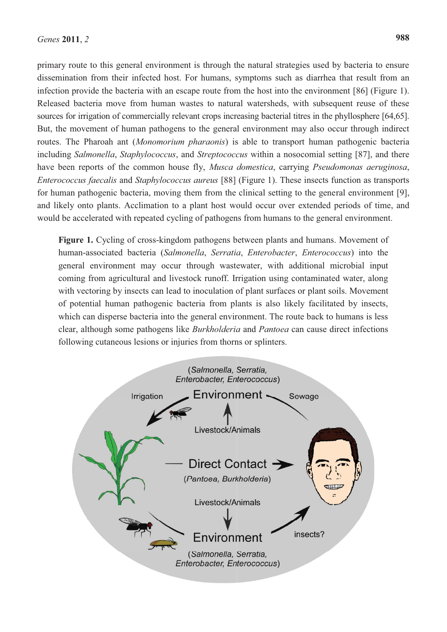primary route to this general environment is through the natural strategies used by bacteria to ensure dissemination from their infected host. For humans, symptoms such as diarrhea that result from an infection provide the bacteria with an escape route from the host into the environment [86] (Figure 1). Released bacteria move from human wastes to natural watersheds, with subsequent reuse of these sources for irrigation of commercially relevant crops increasing bacterial titres in the phyllosphere [64,65]. But, the movement of human pathogens to the general environment may also occur through indirect routes. The Pharoah ant (*Monomorium pharaonis*) is able to transport human pathogenic bacteria including *Salmonella*, *Staphylococcus*, and *Streptococcus* within a nosocomial setting [87], and there have been reports of the common house fly, *Musca domestica*, carrying *Pseudomonas aeruginosa*, *Enterococcus faecalis* and *Staphylococcus aureus* [88] (Figure 1). These insects function as transports for human pathogenic bacteria, moving them from the clinical setting to the general environment [9], and likely onto plants. Acclimation to a plant host would occur over extended periods of time, and would be accelerated with repeated cycling of pathogens from humans to the general environment.

**Figure 1.** Cycling of cross-kingdom pathogens between plants and humans. Movement of human-associated bacteria (*Salmonella*, *Serratia*, *Enterobacter*, *Enterococcus*) into the general environment may occur through wastewater, with additional microbial input coming from agricultural and livestock runoff. Irrigation using contaminated water, along with vectoring by insects can lead to inoculation of plant surfaces or plant soils. Movement of potential human pathogenic bacteria from plants is also likely facilitated by insects, which can disperse bacteria into the general environment. The route back to humans is less clear, although some pathogens like *Burkholderia* and *Pantoea* can cause direct infections following cutaneous lesions or injuries from thorns or splinters.

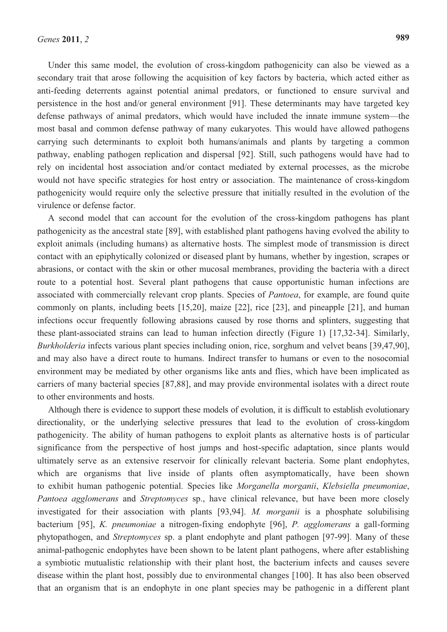Under this same model, the evolution of cross-kingdom pathogenicity can also be viewed as a secondary trait that arose following the acquisition of key factors by bacteria, which acted either as anti-feeding deterrents against potential animal predators, or functioned to ensure survival and persistence in the host and/or general environment [91]. These determinants may have targeted key defense pathways of animal predators, which would have included the innate immune system—the most basal and common defense pathway of many eukaryotes. This would have allowed pathogens carrying such determinants to exploit both humans/animals and plants by targeting a common pathway, enabling pathogen replication and dispersal [92]. Still, such pathogens would have had to rely on incidental host association and/or contact mediated by external processes, as the microbe would not have specific strategies for host entry or association. The maintenance of cross-kingdom pathogenicity would require only the selective pressure that initially resulted in the evolution of the virulence or defense factor.

A second model that can account for the evolution of the cross-kingdom pathogens has plant pathogenicity as the ancestral state [89], with established plant pathogens having evolved the ability to exploit animals (including humans) as alternative hosts. The simplest mode of transmission is direct contact with an epiphytically colonized or diseased plant by humans, whether by ingestion, scrapes or abrasions, or contact with the skin or other mucosal membranes, providing the bacteria with a direct route to a potential host. Several plant pathogens that cause opportunistic human infections are associated with commercially relevant crop plants. Species of *Pantoea*, for example, are found quite commonly on plants, including beets [15,20], maize [22], rice [23], and pineapple [21], and human infections occur frequently following abrasions caused by rose thorns and splinters, suggesting that these plant-associated strains can lead to human infection directly (Figure 1) [17,32-34]. Similarly, *Burkholderia* infects various plant species including onion, rice, sorghum and velvet beans [39,47,90], and may also have a direct route to humans. Indirect transfer to humans or even to the nosocomial environment may be mediated by other organisms like ants and flies, which have been implicated as carriers of many bacterial species [87,88], and may provide environmental isolates with a direct route to other environments and hosts.

Although there is evidence to support these models of evolution, it is difficult to establish evolutionary directionality, or the underlying selective pressures that lead to the evolution of cross-kingdom pathogenicity. The ability of human pathogens to exploit plants as alternative hosts is of particular significance from the perspective of host jumps and host-specific adaptation, since plants would ultimately serve as an extensive reservoir for clinically relevant bacteria. Some plant endophytes, which are organisms that live inside of plants often asymptomatically, have been shown to exhibit human pathogenic potential. Species like *Morganella morganii*, *Klebsiella pneumoniae*, *Pantoea agglomerans* and *Streptomyces* sp., have clinical relevance, but have been more closely investigated for their association with plants [93,94]. *M. morganii* is a phosphate solubilising bacterium [95], *K. pneumoniae* a nitrogen-fixing endophyte [96], *P. agglomerans* a gall-forming phytopathogen, and *Streptomyces* sp. a plant endophyte and plant pathogen [97-99]. Many of these animal-pathogenic endophytes have been shown to be latent plant pathogens, where after establishing a symbiotic mutualistic relationship with their plant host, the bacterium infects and causes severe disease within the plant host, possibly due to environmental changes [100]. It has also been observed that an organism that is an endophyte in one plant species may be pathogenic in a different plant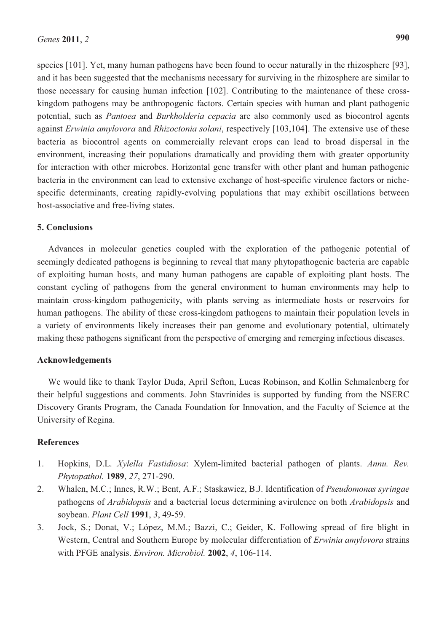species [101]. Yet, many human pathogens have been found to occur naturally in the rhizosphere [93], and it has been suggested that the mechanisms necessary for surviving in the rhizosphere are similar to those necessary for causing human infection [102]. Contributing to the maintenance of these crosskingdom pathogens may be anthropogenic factors. Certain species with human and plant pathogenic potential, such as *Pantoea* and *Burkholderia cepacia* are also commonly used as biocontrol agents against *Erwinia amylovora* and *Rhizoctonia solani*, respectively [103,104]. The extensive use of these bacteria as biocontrol agents on commercially relevant crops can lead to broad dispersal in the environment, increasing their populations dramatically and providing them with greater opportunity for interaction with other microbes. Horizontal gene transfer with other plant and human pathogenic bacteria in the environment can lead to extensive exchange of host-specific virulence factors or nichespecific determinants, creating rapidly-evolving populations that may exhibit oscillations between host-associative and free-living states.

### **5. Conclusions**

Advances in molecular genetics coupled with the exploration of the pathogenic potential of seemingly dedicated pathogens is beginning to reveal that many phytopathogenic bacteria are capable of exploiting human hosts, and many human pathogens are capable of exploiting plant hosts. The constant cycling of pathogens from the general environment to human environments may help to maintain cross-kingdom pathogenicity, with plants serving as intermediate hosts or reservoirs for human pathogens. The ability of these cross-kingdom pathogens to maintain their population levels in a variety of environments likely increases their pan genome and evolutionary potential, ultimately making these pathogens significant from the perspective of emerging and remerging infectious diseases.

### **Acknowledgements**

We would like to thank Taylor Duda, April Sefton, Lucas Robinson, and Kollin Schmalenberg for their helpful suggestions and comments. John Stavrinides is supported by funding from the NSERC Discovery Grants Program, the Canada Foundation for Innovation, and the Faculty of Science at the University of Regina.

### **References**

- 1. Hopkins, D.L. *Xylella Fastidiosa*: Xylem-limited bacterial pathogen of plants. *Annu. Rev. Phytopathol.* **1989**, *27*, 271-290.
- 2. Whalen, M.C.; Innes, R.W.; Bent, A.F.; Staskawicz, B.J. Identification of *Pseudomonas syringae* pathogens of *Arabidopsis* and a bacterial locus determining avirulence on both *Arabidopsis* and soybean. *Plant Cell* **1991**, *3*, 49-59.
- 3. Jock, S.; Donat, V.; López, M.M.; Bazzi, C.; Geider, K. Following spread of fire blight in Western, Central and Southern Europe by molecular differentiation of *Erwinia amylovora* strains with PFGE analysis. *Environ. Microbiol.* **2002**, *4*, 106-114.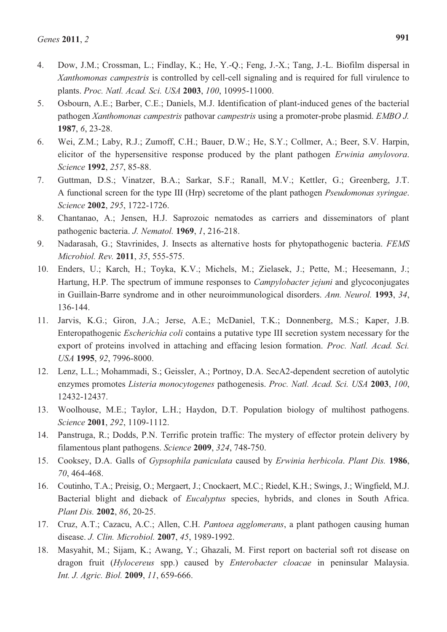- 4. Dow, J.M.; Crossman, L.; Findlay, K.; He, Y.-Q.; Feng, J.-X.; Tang, J.-L. Biofilm dispersal in *Xanthomonas campestris* is controlled by cell-cell signaling and is required for full virulence to plants. *Proc. Natl. Acad. Sci. USA* **2003**, *100*, 10995-11000.
- 5. Osbourn, A.E.; Barber, C.E.; Daniels, M.J. Identification of plant-induced genes of the bacterial pathogen *Xanthomonas campestris* pathovar *campestris* using a promoter-probe plasmid. *EMBO J.*  **1987**, *6*, 23-28.
- 6. Wei, Z.M.; Laby, R.J.; Zumoff, C.H.; Bauer, D.W.; He, S.Y.; Collmer, A.; Beer, S.V. Harpin, elicitor of the hypersensitive response produced by the plant pathogen *Erwinia amylovora*. *Science* **1992**, *257*, 85-88.
- 7. Guttman, D.S.; Vinatzer, B.A.; Sarkar, S.F.; Ranall, M.V.; Kettler, G.; Greenberg, J.T. A functional screen for the type III (Hrp) secretome of the plant pathogen *Pseudomonas syringae*. *Science* **2002**, *295*, 1722-1726.
- 8. Chantanao, A.; Jensen, H.J. Saprozoic nematodes as carriers and disseminators of plant pathogenic bacteria. *J. Nematol.* **1969**, *1*, 216-218.
- 9. Nadarasah, G.; Stavrinides, J. Insects as alternative hosts for phytopathogenic bacteria. *FEMS Microbiol. Rev.* **2011**, *35*, 555-575.
- 10. Enders, U.; Karch, H.; Toyka, K.V.; Michels, M.; Zielasek, J.; Pette, M.; Heesemann, J.; Hartung, H.P. The spectrum of immune responses to *Campylobacter jejuni* and glycoconjugates in Guillain-Barre syndrome and in other neuroimmunological disorders. *Ann. Neurol.* **1993**, *34*, 136-144.
- 11. Jarvis, K.G.; Giron, J.A.; Jerse, A.E.; McDaniel, T.K.; Donnenberg, M.S.; Kaper, J.B. Enteropathogenic *Escherichia coli* contains a putative type III secretion system necessary for the export of proteins involved in attaching and effacing lesion formation. *Proc. Natl. Acad. Sci. USA* **1995**, *92*, 7996-8000.
- 12. Lenz, L.L.; Mohammadi, S.; Geissler, A.; Portnoy, D.A. SecA2-dependent secretion of autolytic enzymes promotes *Listeria monocytogenes* pathogenesis. *Proc. Natl. Acad. Sci. USA* **2003**, *100*, 12432-12437.
- 13. Woolhouse, M.E.; Taylor, L.H.; Haydon, D.T. Population biology of multihost pathogens. *Science* **2001**, *292*, 1109-1112.
- 14. Panstruga, R.; Dodds, P.N. Terrific protein traffic: The mystery of effector protein delivery by filamentous plant pathogens. *Science* **2009**, *324*, 748-750.
- 15. Cooksey, D.A. Galls of *Gypsophila paniculata* caused by *Erwinia herbicola*. *Plant Dis.* **1986**, *70*, 464-468.
- 16. Coutinho, T.A.; Preisig, O.; Mergaert, J.; Cnockaert, M.C.; Riedel, K.H.; Swings, J.; Wingfield, M.J. Bacterial blight and dieback of *Eucalyptus* species, hybrids, and clones in South Africa. *Plant Dis.* **2002**, *86*, 20-25.
- 17. Cruz, A.T.; Cazacu, A.C.; Allen, C.H. *Pantoea agglomerans*, a plant pathogen causing human disease. *J. Clin. Microbiol.* **2007**, *45*, 1989-1992.
- 18. Masyahit, M.; Sijam, K.; Awang, Y.; Ghazali, M. First report on bacterial soft rot disease on dragon fruit (*Hylocereus* spp.) caused by *Enterobacter cloacae* in peninsular Malaysia. *Int. J. Agric. Biol.* **2009**, *11*, 659-666.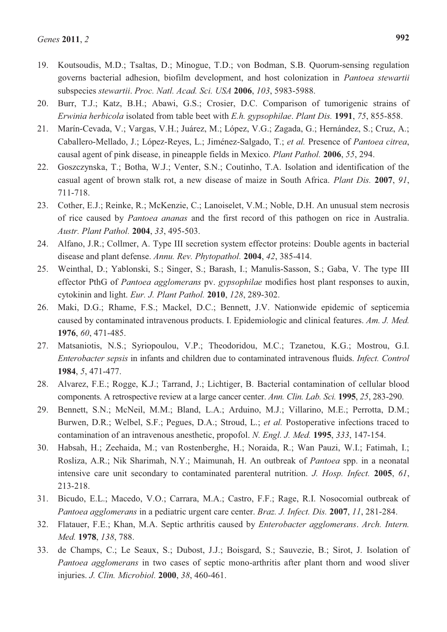- 19. Koutsoudis, M.D.; Tsaltas, D.; Minogue, T.D.; von Bodman, S.B. Quorum-sensing regulation governs bacterial adhesion, biofilm development, and host colonization in *Pantoea stewartii*  subspecies *stewartii*. *Proc. Natl. Acad. Sci. USA* **2006**, *103*, 5983-5988.
- 20. Burr, T.J.; Katz, B.H.; Abawi, G.S.; Crosier, D.C. Comparison of tumorigenic strains of *Erwinia herbicola* isolated from table beet with *E.h. gypsophilae*. *Plant Dis.* **1991**, *75*, 855-858.
- 21. Marín-Cevada, V.; Vargas, V.H.; Juárez, M.; López, V.G.; Zagada, G.; Hernández, S.; Cruz, A.; Caballero-Mellado, J.; López-Reyes, L.; Jiménez-Salgado, T.; *et al.* Presence of *Pantoea citrea*, causal agent of pink disease, in pineapple fields in Mexico. *Plant Pathol.* **2006**, *55*, 294.
- 22. Goszczynska, T.; Botha, W.J.; Venter, S.N.; Coutinho, T.A. Isolation and identification of the casual agent of brown stalk rot, a new disease of maize in South Africa. *Plant Dis.* **2007**, *91*, 711-718.
- 23. Cother, E.J.; Reinke, R.; McKenzie, C.; Lanoiselet, V.M.; Noble, D.H. An unusual stem necrosis of rice caused by *Pantoea ananas* and the first record of this pathogen on rice in Australia. *Austr. Plant Pathol.* **2004**, *33*, 495-503.
- 24. Alfano, J.R.; Collmer, A. Type III secretion system effector proteins: Double agents in bacterial disease and plant defense. *Annu. Rev. Phytopathol.* **2004**, *42*, 385-414.
- 25. Weinthal, D.; Yablonski, S.; Singer, S.; Barash, I.; Manulis-Sasson, S.; Gaba, V. The type III effector PthG of *Pantoea agglomerans* pv. *gypsophilae* modifies host plant responses to auxin, cytokinin and light. *Eur. J. Plant Pathol.* **2010**, *128*, 289-302.
- 26. Maki, D.G.; Rhame, F.S.; Mackel, D.C.; Bennett, J.V. Nationwide epidemic of septicemia caused by contaminated intravenous products. I. Epidemiologic and clinical features. *Am. J. Med.*  **1976**, *60*, 471-485.
- 27. Matsaniotis, N.S.; Syriopoulou, V.P.; Theodoridou, M.C.; Tzanetou, K.G.; Mostrou, G.I. *Enterobacter sepsis* in infants and children due to contaminated intravenous fluids. *Infect. Control*  **1984**, *5*, 471-477.
- 28. Alvarez, F.E.; Rogge, K.J.; Tarrand, J.; Lichtiger, B. Bacterial contamination of cellular blood components. A retrospective review at a large cancer center. *Ann. Clin. Lab. Sci.* **1995**, *25*, 283-290.
- 29. Bennett, S.N.; McNeil, M.M.; Bland, L.A.; Arduino, M.J.; Villarino, M.E.; Perrotta, D.M.; Burwen, D.R.; Welbel, S.F.; Pegues, D.A.; Stroud, L.; *et al.* Postoperative infections traced to contamination of an intravenous anesthetic, propofol. *N. Engl. J. Med.* **1995**, *333*, 147-154.
- 30. Habsah, H.; Zeehaida, M.; van Rostenberghe, H.; Noraida, R.; Wan Pauzi, W.I.; Fatimah, I.; Rosliza, A.R.; Nik Sharimah, N.Y.; Maimunah, H. An outbreak of *Pantoea* spp. in a neonatal intensive care unit secondary to contaminated parenteral nutrition. *J. Hosp. Infect.* **2005**, *61*, 213-218.
- 31. Bicudo, E.L.; Macedo, V.O.; Carrara, M.A.; Castro, F.F.; Rage, R.I. Nosocomial outbreak of *Pantoea agglomerans* in a pediatric urgent care center. *Braz. J. Infect. Dis.* **2007**, *11*, 281-284.
- 32. Flatauer, F.E.; Khan, M.A. Septic arthritis caused by *Enterobacter agglomerans*. *Arch. Intern. Med.* **1978**, *138*, 788.
- 33. de Champs, C.; Le Seaux, S.; Dubost, J.J.; Boisgard, S.; Sauvezie, B.; Sirot, J. Isolation of *Pantoea agglomerans* in two cases of septic mono-arthritis after plant thorn and wood sliver injuries. *J. Clin. Microbiol.* **2000**, *38*, 460-461.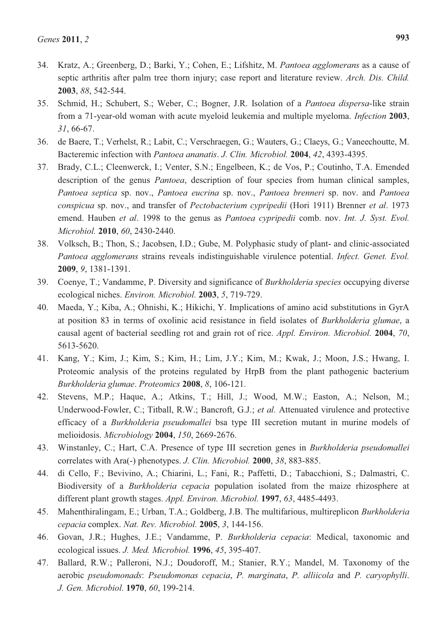- 34. Kratz, A.; Greenberg, D.; Barki, Y.; Cohen, E.; Lifshitz, M. *Pantoea agglomerans* as a cause of septic arthritis after palm tree thorn injury; case report and literature review. *Arch. Dis. Child.*  **2003**, *88*, 542-544.
- 35. Schmid, H.; Schubert, S.; Weber, C.; Bogner, J.R. Isolation of a *Pantoea dispersa*-like strain from a 71-year-old woman with acute myeloid leukemia and multiple myeloma. *Infection* **2003**, *31*, 66-67.
- 36. de Baere, T.; Verhelst, R.; Labit, C.; Verschraegen, G.; Wauters, G.; Claeys, G.; Vaneechoutte, M. Bacteremic infection with *Pantoea ananatis*. *J. Clin. Microbiol.* **2004**, *42*, 4393-4395.
- 37. Brady, C.L.; Cleenwerck, I.; Venter, S.N.; Engelbeen, K.; de Vos, P.; Coutinho, T.A. Emended description of the genus *Pantoea*, description of four species from human clinical samples, *Pantoea septica* sp. nov., *Pantoea eucrina* sp. nov., *Pantoea brenneri* sp. nov. and *Pantoea conspicua* sp. nov., and transfer of *Pectobacterium cypripedii* (Hori 1911) Brenner *et al*. 1973 emend. Hauben *et al*. 1998 to the genus as *Pantoea cypripedii* comb. nov. *Int. J. Syst. Evol. Microbiol.* **2010**, *60*, 2430-2440.
- 38. Volksch, B.; Thon, S.; Jacobsen, I.D.; Gube, M. Polyphasic study of plant- and clinic-associated *Pantoea agglomerans* strains reveals indistinguishable virulence potential. *Infect. Genet. Evol.*  **2009**, *9*, 1381-1391.
- 39. Coenye, T.; Vandamme, P. Diversity and significance of *Burkholderia species* occupying diverse ecological niches. *Environ. Microbiol.* **2003**, *5*, 719-729.
- 40. Maeda, Y.; Kiba, A.; Ohnishi, K.; Hikichi, Y. Implications of amino acid substitutions in GyrA at position 83 in terms of oxolinic acid resistance in field isolates of *Burkholderia glumae*, a causal agent of bacterial seedling rot and grain rot of rice. *Appl. Environ. Microbiol.* **2004**, *70*, 5613-5620.
- 41. Kang, Y.; Kim, J.; Kim, S.; Kim, H.; Lim, J.Y.; Kim, M.; Kwak, J.; Moon, J.S.; Hwang, I. Proteomic analysis of the proteins regulated by HrpB from the plant pathogenic bacterium *Burkholderia glumae*. *Proteomics* **2008**, *8*, 106-121.
- 42. Stevens, M.P.; Haque, A.; Atkins, T.; Hill, J.; Wood, M.W.; Easton, A.; Nelson, M.; Underwood-Fowler, C.; Titball, R.W.; Bancroft, G.J.; *et al.* Attenuated virulence and protective efficacy of a *Burkholderia pseudomallei* bsa type III secretion mutant in murine models of melioidosis. *Microbiology* **2004**, *150*, 2669-2676.
- 43. Winstanley, C.; Hart, C.A. Presence of type III secretion genes in *Burkholderia pseudomallei*  correlates with Ara(-) phenotypes. *J. Clin. Microbiol.* **2000**, *38*, 883-885.
- 44. di Cello, F.; Bevivino, A.; Chiarini, L.; Fani, R.; Paffetti, D.; Tabacchioni, S.; Dalmastri, C. Biodiversity of a *Burkholderia cepacia* population isolated from the maize rhizosphere at different plant growth stages. *Appl. Environ. Microbiol.* **1997**, *63*, 4485-4493.
- 45. Mahenthiralingam, E.; Urban, T.A.; Goldberg, J.B. The multifarious, multireplicon *Burkholderia cepacia* complex. *Nat. Rev. Microbiol.* **2005**, *3*, 144-156.
- 46. Govan, J.R.; Hughes, J.E.; Vandamme, P. *Burkholderia cepacia*: Medical, taxonomic and ecological issues. *J. Med. Microbiol.* **1996**, *45*, 395-407.
- 47. Ballard, R.W.; Palleroni, N.J.; Doudoroff, M.; Stanier, R.Y.; Mandel, M. Taxonomy of the aerobic *pseudomonads*: *Pseudomonas cepacia*, *P. marginata*, *P. alliicola* and *P. caryophylli*. *J. Gen. Microbiol.* **1970**, *60*, 199-214.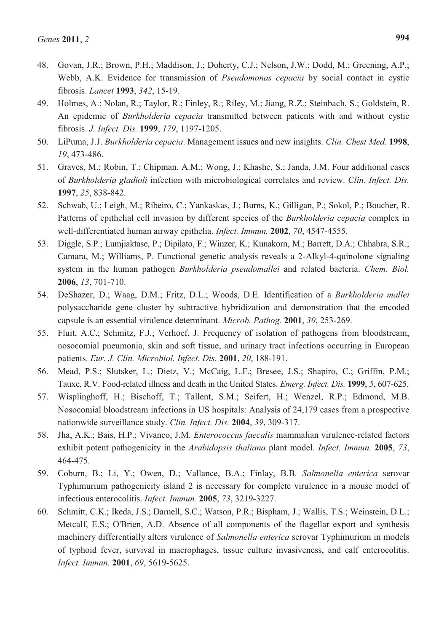- 48. Govan, J.R.; Brown, P.H.; Maddison, J.; Doherty, C.J.; Nelson, J.W.; Dodd, M.; Greening, A.P.; Webb, A.K. Evidence for transmission of *Pseudomonas cepacia* by social contact in cystic fibrosis. *Lancet* **1993**, *342*, 15-19.
- 49. Holmes, A.; Nolan, R.; Taylor, R.; Finley, R.; Riley, M.; Jiang, R.Z.; Steinbach, S.; Goldstein, R. An epidemic of *Burkholderia cepacia* transmitted between patients with and without cystic fibrosis. *J. Infect. Dis.* **1999**, *179*, 1197-1205.
- 50. LiPuma, J.J. *Burkholderia cepacia*. Management issues and new insights. *Clin. Chest Med.* **1998**, *19*, 473-486.
- 51. Graves, M.; Robin, T.; Chipman, A.M.; Wong, J.; Khashe, S.; Janda, J.M. Four additional cases of *Burkholderia gladioli* infection with microbiological correlates and review. *Clin. Infect. Dis.*  **1997**, *25*, 838-842.
- 52. Schwab, U.; Leigh, M.; Ribeiro, C.; Yankaskas, J.; Burns, K.; Gilligan, P.; Sokol, P.; Boucher, R. Patterns of epithelial cell invasion by different species of the *Burkholderia cepacia* complex in well-differentiated human airway epithelia. *Infect. Immun.* **2002**, *70*, 4547-4555.
- 53. Diggle, S.P.; Lumjiaktase, P.; Dipilato, F.; Winzer, K.; Kunakorn, M.; Barrett, D.A.; Chhabra, S.R.; Camara, M.; Williams, P. Functional genetic analysis reveals a 2-Alkyl-4-quinolone signaling system in the human pathogen *Burkholderia pseudomallei* and related bacteria. *Chem. Biol.*  **2006**, *13*, 701-710.
- 54. DeShazer, D.; Waag, D.M.; Fritz, D.L.; Woods, D.E. Identification of a *Burkholderia mallei* polysaccharide gene cluster by subtractive hybridization and demonstration that the encoded capsule is an essential virulence determinant. *Microb. Pathog.* **2001**, *30*, 253-269.
- 55. Fluit, A.C.; Schmitz, F.J.; Verhoef, J. Frequency of isolation of pathogens from bloodstream, nosocomial pneumonia, skin and soft tissue, and urinary tract infections occurring in European patients. *Eur. J. Clin. Microbiol. Infect. Dis.* **2001**, *20*, 188-191.
- 56. Mead, P.S.; Slutsker, L.; Dietz, V.; McCaig, L.F.; Bresee, J.S.; Shapiro, C.; Griffin, P.M.; Tauxe, R.V. Food-related illness and death in the United States. *Emerg. Infect. Dis.* **1999**, *5*, 607-625.
- 57. Wisplinghoff, H.; Bischoff, T.; Tallent, S.M.; Seifert, H.; Wenzel, R.P.; Edmond, M.B. Nosocomial bloodstream infections in US hospitals: Analysis of 24,179 cases from a prospective nationwide surveillance study. *Clin. Infect. Dis.* **2004**, *39*, 309-317.
- 58. Jha, A.K.; Bais, H.P.; Vivanco, J.M. *Enterococcus faecalis* mammalian virulence-related factors exhibit potent pathogenicity in the *Arabidopsis thaliana* plant model. *Infect. Immun.* **2005**, *73*, 464-475.
- 59. Coburn, B.; Li, Y.; Owen, D.; Vallance, B.A.; Finlay, B.B. *Salmonella enterica* serovar Typhimurium pathogenicity island 2 is necessary for complete virulence in a mouse model of infectious enterocolitis. *Infect. Immun.* **2005**, *73*, 3219-3227.
- 60. Schmitt, C.K.; Ikeda, J.S.; Darnell, S.C.; Watson, P.R.; Bispham, J.; Wallis, T.S.; Weinstein, D.L.; Metcalf, E.S.; O'Brien, A.D. Absence of all components of the flagellar export and synthesis machinery differentially alters virulence of *Salmonella enterica* serovar Typhimurium in models of typhoid fever, survival in macrophages, tissue culture invasiveness, and calf enterocolitis. *Infect. Immun.* **2001**, *69*, 5619-5625.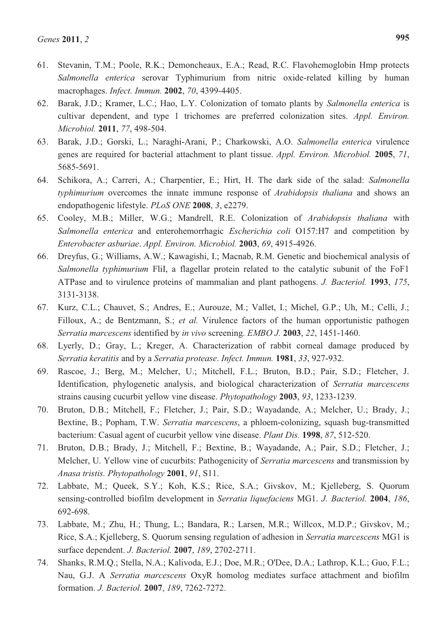- 61. Stevanin, T.M.; Poole, R.K.; Demoncheaux, E.A.; Read, R.C. Flavohemoglobin Hmp protects *Salmonella enterica* serovar Typhimurium from nitric oxide-related killing by human macrophages. *Infect. Immun.* **2002**, *70*, 4399-4405.
- 62. Barak, J.D.; Kramer, L.C.; Hao, L.Y. Colonization of tomato plants by *Salmonella enterica* is cultivar dependent, and type 1 trichomes are preferred colonization sites. *Appl. Environ. Microbiol.* **2011**, *77*, 498-504.
- 63. Barak, J.D.; Gorski, L.; Naraghi-Arani, P.; Charkowski, A.O. *Salmonella enterica* virulence genes are required for bacterial attachment to plant tissue. *Appl. Environ. Microbiol.* **2005**, *71*, 5685-5691.
- 64. Schikora, A.; Carreri, A.; Charpentier, E.; Hirt, H. The dark side of the salad: *Salmonella typhimurium* overcomes the innate immune response of *Arabidopsis thaliana* and shows an endopathogenic lifestyle. *PLoS ONE* **2008**, *3*, e2279.
- 65. Cooley, M.B.; Miller, W.G.; Mandrell, R.E. Colonization of *Arabidopsis thaliana* with *Salmonella enterica* and enterohemorrhagic *Escherichia coli* O157:H7 and competition by *Enterobacter asburiae*. *Appl. Environ. Microbiol.* **2003**, *69*, 4915-4926.
- 66. Dreyfus, G.; Williams, A.W.; Kawagishi, I.; Macnab, R.M. Genetic and biochemical analysis of *Salmonella typhimurium* FliI, a flagellar protein related to the catalytic subunit of the FoF1 ATPase and to virulence proteins of mammalian and plant pathogens. *J. Bacteriol.* **1993**, *175*, 3131-3138.
- 67. Kurz, C.L.; Chauvet, S.; Andres, E.; Aurouze, M.; Vallet, I.; Michel, G.P.; Uh, M.; Celli, J.; Filloux, A.; de Bentzmann, S.; *et al.* Virulence factors of the human opportunistic pathogen *Serratia marcescens* identified by *in vivo* screening. *EMBO J.* **2003**, *22*, 1451-1460.
- 68. Lyerly, D.; Gray, L.; Kreger, A. Characterization of rabbit corneal damage produced by *Serratia keratitis* and by a *Serratia protease*. *Infect. Immun.* **1981**, *33*, 927-932.
- 69. Rascoe, J.; Berg, M.; Melcher, U.; Mitchell, F.L.; Bruton, B.D.; Pair, S.D.; Fletcher, J. Identification, phylogenetic analysis, and biological characterization of *Serratia marcescens* strains causing cucurbit yellow vine disease. *Phytopathology* **2003**, *93*, 1233-1239.
- 70. Bruton, D.B.; Mitchell, F.; Fletcher, J.; Pair, S.D.; Wayadande, A.; Melcher, U.; Brady, J.; Bextine, B.; Popham, T.W. *Serratia marcescens*, a phloem-colonizing, squash bug-transmitted bacterium: Casual agent of cucurbit yellow vine disease. *Plant Dis.* **1998**, *87*, 512-520.
- 71. Bruton, D.B.; Brady, J.; Mitchell, F.; Bextine, B.; Wayadande, A.; Pair, S.D.; Fletcher, J.; Melcher, U. Yellow vine of cucurbits: Pathogenicity of *Serratia marcescens* and transmission by *Anasa tristis. Phytopathology* **2001**, *91*, S11.
- 72. Labbate, M.; Queek, S.Y.; Koh, K.S.; Rice, S.A.; Givskov, M.; Kjelleberg, S. Quorum sensing-controlled biofilm development in *Serratia liquefaciens* MG1. *J. Bacteriol.* **2004**, *186*, 692-698.
- 73. Labbate, M.; Zhu, H.; Thung, L.; Bandara, R.; Larsen, M.R.; Willcox, M.D.P.; Givskov, M.; Rice, S.A.; Kjelleberg, S. Quorum sensing regulation of adhesion in *Serratia marcescens* MG1 is surface dependent. *J. Bacteriol.* **2007**, *189*, 2702-2711.
- 74. Shanks, R.M.Q.; Stella, N.A.; Kalivoda, E.J.; Doe, M.R.; O'Dee, D.A.; Lathrop, K.L.; Guo, F.L.; Nau, G.J. A *Serratia marcescens* OxyR homolog mediates surface attachment and biofilm formation. *J. Bacteriol.* **2007**, *189*, 7262-7272.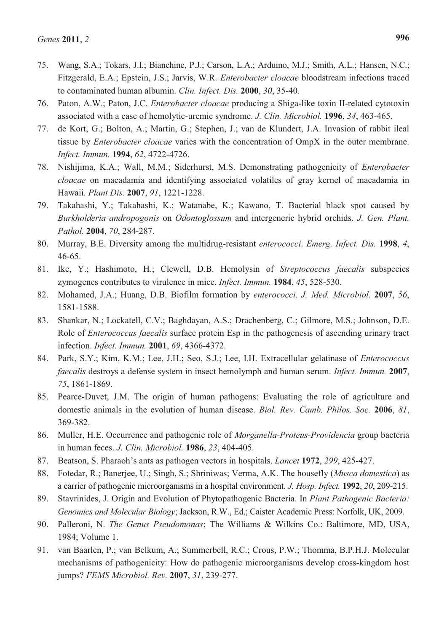- 76. Paton, A.W.; Paton, J.C. *Enterobacter cloacae* producing a Shiga-like toxin II-related cytotoxin associated with a case of hemolytic-uremic syndrome. *J. Clin. Microbiol.* **1996**, *34*, 463-465.
- 77. de Kort, G.; Bolton, A.; Martin, G.; Stephen, J.; van de Klundert, J.A. Invasion of rabbit ileal tissue by *Enterobacter cloacae* varies with the concentration of OmpX in the outer membrane. *Infect. Immun.* **1994**, *62*, 4722-4726.
- 78. Nishijima, K.A.; Wall, M.M.; Siderhurst, M.S. Demonstrating pathogenicity of *Enterobacter cloacae* on macadamia and identifying associated volatiles of gray kernel of macadamia in Hawaii. *Plant Dis.* **2007**, *91*, 1221-1228.
- 79. Takahashi, Y.; Takahashi, K.; Watanabe, K.; Kawano, T. Bacterial black spot caused by *Burkholderia andropogonis* on *Odontoglossum* and intergeneric hybrid orchids. *J. Gen. Plant. Pathol.* **2004**, *70*, 284-287.
- 80. Murray, B.E. Diversity among the multidrug-resistant *enterococci*. *Emerg. Infect. Dis.* **1998**, *4*, 46-65.
- 81. Ike, Y.; Hashimoto, H.; Clewell, D.B. Hemolysin of *Streptococcus faecalis* subspecies zymogenes contributes to virulence in mice. *Infect. Immun.* **1984**, *45*, 528-530.
- 82. Mohamed, J.A.; Huang, D.B. Biofilm formation by *enterococci*. *J. Med. Microbiol.* **2007**, *56*, 1581-1588.
- 83. Shankar, N.; Lockatell, C.V.; Baghdayan, A.S.; Drachenberg, C.; Gilmore, M.S.; Johnson, D.E. Role of *Enterococcus faecalis* surface protein Esp in the pathogenesis of ascending urinary tract infection. *Infect. Immun.* **2001**, *69*, 4366-4372.
- 84. Park, S.Y.; Kim, K.M.; Lee, J.H.; Seo, S.J.; Lee, I.H. Extracellular gelatinase of *Enterococcus faecalis* destroys a defense system in insect hemolymph and human serum. *Infect. Immun.* **2007**, *75*, 1861-1869.
- 85. Pearce-Duvet, J.M. The origin of human pathogens: Evaluating the role of agriculture and domestic animals in the evolution of human disease. *Biol. Rev. Camb. Philos. Soc.* **2006**, *81*, 369-382.
- 86. Muller, H.E. Occurrence and pathogenic role of *Morganella-Proteus-Providencia* group bacteria in human feces. *J. Clin. Microbiol.* **1986**, *23*, 404-405.
- 87. Beatson, S. Pharaoh's ants as pathogen vectors in hospitals. *Lancet* **1972**, *299*, 425-427.
- 88. Fotedar, R.; Banerjee, U.; Singh, S.; Shriniwas; Verma, A.K. The housefly (*Musca domestica*) as a carrier of pathogenic microorganisms in a hospital environment. *J. Hosp. Infect.* **1992**, *20*, 209-215.
- 89. Stavrinides, J. Origin and Evolution of Phytopathogenic Bacteria. In *Plant Pathogenic Bacteria: Genomics and Molecular Biology*; Jackson, R.W., Ed.; Caister Academic Press: Norfolk, UK, 2009.
- 90. Palleroni, N. *The Genus Pseudomonas*; The Williams & Wilkins Co.: Baltimore, MD, USA, 1984; Volume 1.
- 91. van Baarlen, P.; van Belkum, A.; Summerbell, R.C.; Crous, P.W.; Thomma, B.P.H.J. Molecular mechanisms of pathogenicity: How do pathogenic microorganisms develop cross-kingdom host jumps? *FEMS Microbiol. Rev.* **2007**, *31*, 239-277.